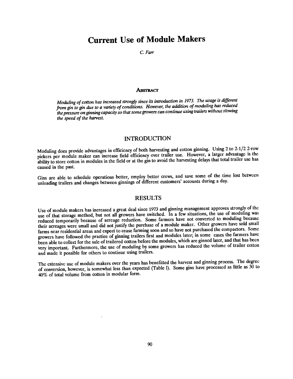# Current Use of Module Makers

#### C. Farr

#### **ABSTRACT**

Moduling of cotton has increased strongly since its introduction in 1973. The usage is different from gin to gin due to a variety of conditions. However, the addition of moduling has reduced the pressure on ginning capacity so that some growers can continue using trailers without slowing the speed of the harvest.

## INTRODUCTION

Moduling does provide advantages in efficiency of both harvesting and cotton ginning. Using 2 to 2-1/2 2-row pickers per module maker can increase field efficiency over trailer use. However, a larger advantage is the ability to store cotton in modules in the field or at the gin to avoid the harvesting delays that total trailer use has caused in the past.

Gins are able to schedule operations better, employ better crews, and save some of the time lost between unloading trailers and changes between ginnings of different customers' accounts during a day.

### RESULTS

Use of module makers has increased a great deal since 1973 and ginning management approves stronglyof the use of that storage method, but not all growers have switched. In a few situations, the use of moduling was reduced temporarily because of acreage reduction. Some farmers have not converted to moduling because their acreages were small and did not justify the purchase of a module maker. Other growers have sold small farms near residential areas and expect to cease farming soon and so have not purchased the compactors. Some growers have followed the practice of ginning trailers first and modules later; in some cases the farmers have been able to collect for the sale of trailered cotton before the modules, which are ginned later, and that has been very important. Furthermore, the use of moduling by some growers has reduced the volume of trailer cotton and made it possible for others to continue using trailers.

The extensive use of module makers over the years has benefitted the harvest and ginning process. The degree of conversion, however, is somewhat less than expected (Table 1). Some gins have processed as little as 30 to 40% of total volume from cotton in modular form.